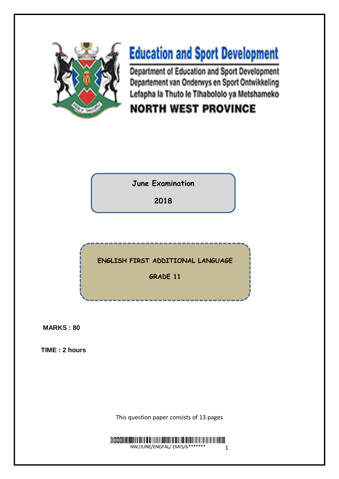

# **Education and Sport Development**

Department of Education and Sport Development Departement van Onderwys en Sport Ontwikkeling Lefapha la Thuto le Tihabololo ya Metshameko

## **NORTH WEST PROVINCE**

**June Examination**

**2018**

**ENGLISH FIRST ADDITIONAL LANGUAGE** 

**GRADE 11**

**MARKS : 80** 

**TIME : 2 hours** 

This question paper consists of 13 pages

 $\overline{\mathsf{B}}$  and  $\overline{\mathsf{B}}$ NHIHINI NIHINI NIHINI NIHINI NIHINI NIHINI NIHINI NIHINI NIHINI NIHINI NIHINI NIHINI NIHINI NIHINI NIHINI NIH<br>NW/JUNE/ENGFAL/ EMIS/6\*\*\*\*\*\*\*\* 1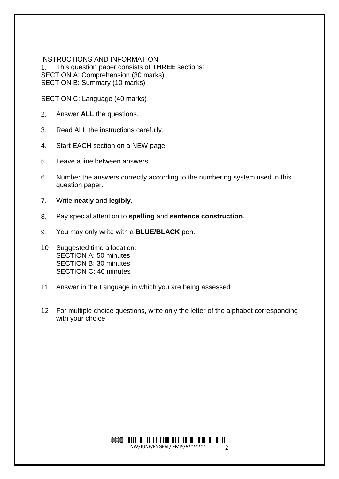INSTRUCTIONS AND INFORMATION 1. This question paper consists of **THREE** sections: SECTION A: Comprehension (30 marks) SECTION B: Summary (10 marks)

SECTION C: Language (40 marks)

- 2. Answer **ALL** the questions.
- 3. Read ALL the instructions carefully.
- 4. Start EACH section on a NEW page.
- 5. Leave a line between answers.
- 6. Number the answers correctly according to the numbering system used in this question paper.
- 7. Write **neatly** and **legibly**.
- 8. Pay special attention to **spelling** and **sentence construction**.
- 9. You may only write with a **BLUE/BLACK** pen.
- 10 Suggested time allocation: . SECTION A: 50 minutes SECTION B: 30 minutes SECTION C: 40 minutes

.

- 11 Answer in the Language in which you are being assessed
- 12 For multiple choice questions, write only the letter of the alphabet corresponding . with your choice

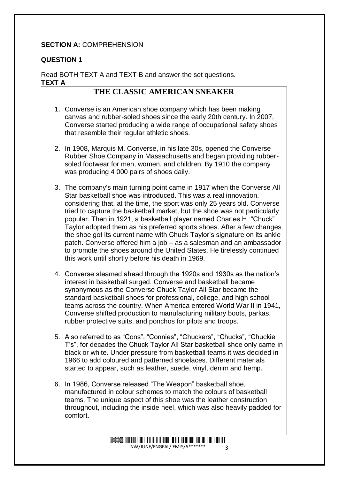#### **SECTION A: COMPREHENSION**

#### **QUESTION 1**

Read BOTH TEXT A and TEXT B and answer the set questions. **TEXT A** 

#### **THE CLASSIC AMERICAN SNEAKER**

- 1. Converse is an American shoe company which has been making canvas and rubber-soled shoes since the early 20th century. In 2007, Converse started producing a wide range of occupational safety shoes that resemble their regular athletic shoes.
- 2. In 1908, Marquis M. Converse, in his late 30s, opened the Converse Rubber Shoe Company in Massachusetts and began providing rubbersoled footwear for men, women, and children. By 1910 the company was producing 4 000 pairs of shoes daily.
- 3. The company's main turning point came in 1917 when the Converse All Star basketball shoe was introduced. This was a real innovation, considering that, at the time, the sport was only 25 years old. Converse tried to capture the basketball market, but the shoe was not particularly popular. Then in 1921, a basketball player named Charles H. "Chuck" Taylor adopted them as his preferred sports shoes. After a few changes the shoe got its current name with Chuck Taylor's signature on its ankle patch. Converse offered him a job – as a salesman and an ambassador to promote the shoes around the United States. He tirelessly continued this work until shortly before his death in 1969.
- 4. Converse steamed ahead through the 1920s and 1930s as the nation's interest in basketball surged. Converse and basketball became synonymous as the Converse Chuck Taylor All Star became the standard basketball shoes for professional, college, and high school teams across the country. When America entered World War II in 1941, Converse shifted production to manufacturing military boots, parkas, rubber protective suits, and ponchos for pilots and troops.
- 5. Also referred to as "Cons", "Connies", "Chuckers", "Chucks", "Chuckie T's", for decades the Chuck Taylor All Star basketball shoe only came in black or white. Under pressure from basketball teams it was decided in 1966 to add coloured and patterned shoelaces. Different materials started to appear, such as leather, suede, vinyl, denim and hemp.
- 6. In 1986, Converse released "The Weapon" basketball shoe, manufactured in colour schemes to match the colours of basketball teams. The unique aspect of this shoe was the leather construction throughout, including the inside heel, which was also heavily padded for comfort.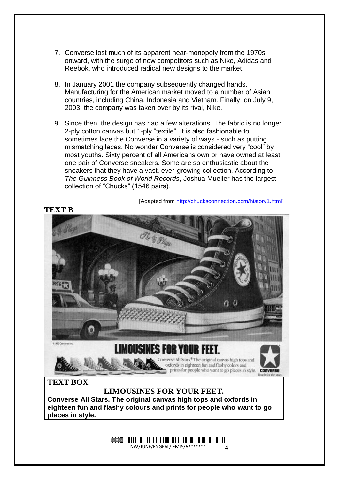

most youths. Sixty percent of all Americans own or have owned at least one pair of Converse sneakers. Some are so enthusiastic about the sneakers that they have a vast, ever-growing collection. According to *The Guinness Book of World Records*, Joshua Mueller has the largest collection of "Chucks" (1546 pairs).

[Adapted from [http://chucksconnection.com/history1.html\]](http://chucksconnection.com/history1.html)



Demo NW/JUNE/ENGFAL/ EMIS/6\*  $\overline{A}$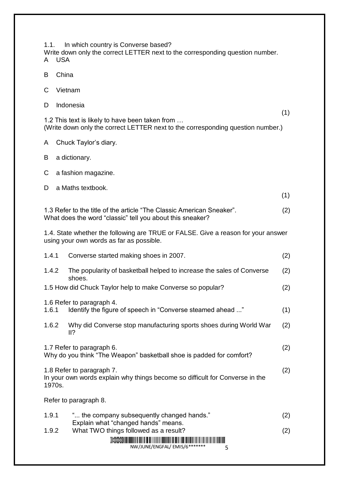1.1. In which country is Converse based? Write down only the correct LETTER next to the corresponding question number. A USA

- 
- B China
- C Vietnam
- D Indonesia

 $(1)$ 1.2 This text is likely to have been taken from … (Write down only the correct LETTER next to the corresponding question number.)

- A Chuck Taylor's diary.
- B a dictionary.
- C a fashion magazine.

| D<br>a Maths textbook. |
|------------------------|
|                        |

 $(1)$ 

1.3 Refer to the title of the article "The Classic American Sneaker". What does the word "classic" tell you about this sneaker? (2)

1.4. State whether the following are TRUE or FALSE. Give a reason for your answer using your own words as far as possible.

| 1.4.1  | Converse started making shoes in 2007.                                                                    | (2) |
|--------|-----------------------------------------------------------------------------------------------------------|-----|
| 1.4.2  | The popularity of basketball helped to increase the sales of Converse<br>shoes.                           | (2) |
|        | 1.5 How did Chuck Taylor help to make Converse so popular?                                                | (2) |
|        | 1.6 Refer to paragraph 4.                                                                                 |     |
| 1.6.1  | ldentify the figure of speech in "Converse steamed ahead "                                                | (1) |
| 1.6.2  | Why did Converse stop manufacturing sports shoes during World War<br>II?                                  | (2) |
|        | 1.7 Refer to paragraph 6.<br>Why do you think "The Weapon" basketball shoe is padded for comfort?         | (2) |
| 1970s. | 1.8 Refer to paragraph 7.<br>In your own words explain why things become so difficult for Converse in the | (2) |
|        | Refer to paragraph 8.                                                                                     |     |
| 1.9.1  | " the company subsequently changed hands."<br>Explain what "changed hands" means.                         | (2) |
| 1.9.2  | What TWO things followed as a result?                                                                     | (2) |
|        |                                                                                                           |     |

NW/JUNE/ENGFAL/ EMIS/6\*\*\*\*\*\*\* 5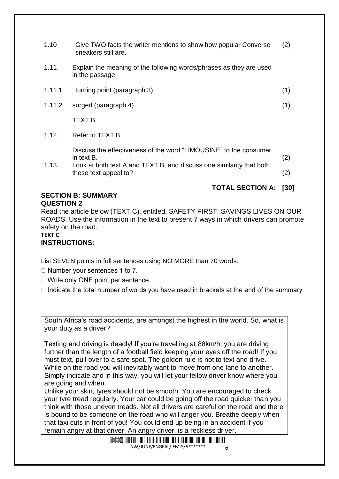| 1.10   | Give TWO facts the writer mentions to show how popular Converse<br>sneakers still are.                                                                                           | (2)        |
|--------|----------------------------------------------------------------------------------------------------------------------------------------------------------------------------------|------------|
| 1.11   | Explain the meaning of the following words/phrases as they are used<br>in the passage:                                                                                           |            |
| 1.11.1 | turning point (paragraph 3)                                                                                                                                                      | (1)        |
| 1.11.2 | surged (paragraph 4)                                                                                                                                                             | (1)        |
|        | TEXT B                                                                                                                                                                           |            |
| 1.12.  | Refer to TEXT B                                                                                                                                                                  |            |
| 1.13.  | Discuss the effectiveness of the word "LIMOUSINE" to the consumer<br>in text B.<br>Look at both text A and TEXT B, and discuss one similarity that both<br>these text appeal to? | (2)<br>(2) |

#### **TOTAL SECTION A: [30]**

#### **SECTION B: SUMMARY QUESTION 2**

Read the article below (TEXT C), entitled, SAFETY FIRST: SAVINGS LIVES ON OUR ROADS. Use the information in the text to present 7 ways in which drivers can promote safety on the road.

#### **TEXT C**

#### **INSTRUCTIONS:**

List SEVEN points in full sentences using NO MORE than 70 words.

- $\Box$  Number your sentences 1 to 7.
- $\Box$  Write only ONE point per sentence.
- $\Box$  Indicate the total number of words you have used in brackets at the end of the summary.

South Africa's road accidents, are amongst the highest in the world. So, what is your duty as a driver?

Texting and driving is deadly! If you're travelling at 88km/h, you are driving further than the length of a football field keeping your eyes off the road! If you must text, pull over to a safe spot. The golden rule is not to text and drive. While on the road you will inevitably want to move from one lane to another. Simply indicate and in this way, you will let your fellow driver know where you are going and when.

Unlike your skin, tyres should not be smooth. You are encouraged to check your tyre tread regularly. Your car could be going off the road quicker than you think with those uneven treads. Not all drivers are careful on the road and there is bound to be someone on the road who will anger you. Breathe deeply when that taxi cuts in front of you! You could end up being in an accident if you remain angry at that driver. An angry driver, is a reckless driver.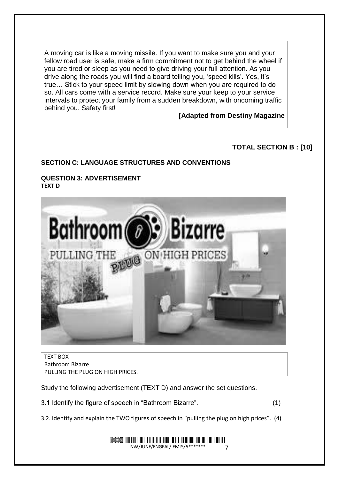A moving car is like a moving missile. If you want to make sure you and your fellow road user is safe, make a firm commitment not to get behind the wheel if you are tired or sleep as you need to give driving your full attention. As you drive along the roads you will find a board telling you, 'speed kills'. Yes, it's true… Stick to your speed limit by slowing down when you are required to do so. All cars come with a service record. Make sure your keep to your service intervals to protect your family from a sudden breakdown, with oncoming traffic behind you. Safety first!

**[Adapted from Destiny Magazine**

#### **TOTAL SECTION B : [10]**

#### **SECTION C: LANGUAGE STRUCTURES AND CONVENTIONS**

#### **QUESTION 3: ADVERTISEMENT TEXT D**



TEXT BOX Bathroom Bizarre PULLING THE PLUG ON HIGH PRICES.

Study the following advertisement (TEXT D) and answer the set questions.

3.1 Identify the figure of speech in "Bathroom Bizarre". (1)

3.2. Identify and explain the TWO figures of speech in "pulling the plug on high prices". (4)

#### Demo NHININI ININI ININI ININI ININI ININI ININI ININI ININI ININI ININI ININI ININI ININI ININI ININI ININI ININI<br>NW/JUNE/ENGFAL/ EMIS/6\*\*\*\*\*\*\* 7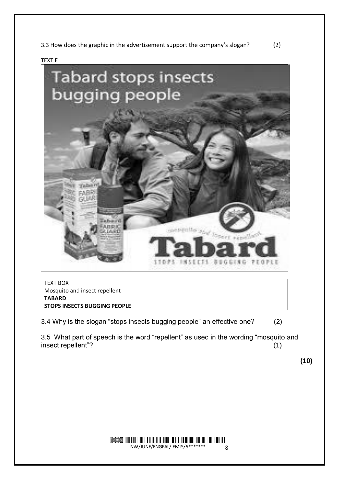3.3 How does the graphic in the advertisement support the company's slogan? (2)

TEXT E



TEXT BOX Mosquito and insect repellent **TABARD STOPS INSECTS BUGGING PEOPLE**

3.4 Why is the slogan "stops insects bugging people" an effective one? (2)

3.5 What part of speech is the word "repellent" as used in the wording "mosquito and insect repellent"? (1)

**(10)**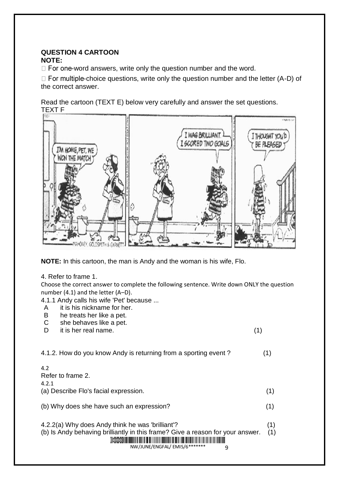#### **QUESTION 4 CARTOON NOTE:**

 $\Box$  For one-word answers, write only the question number and the word.

 $\Box$  For multiple-choice questions, write only the question number and the letter (A-D) of the correct answer.

Read the cartoon (TEXT E) below very carefully and answer the set questions. TEXT F



**NOTE:** In this cartoon, the man is Andy and the woman is his wife, Flo.

#### 4. Refer to frame 1.

Choose the correct answer to complete the following sentence. Write down ONLY the question number (4.1) and the letter (A–D).

4.1.1 Andy calls his wife 'Pet' because ...

- A it is his nickname for her.
- B he treats her like a pet.
- C she behaves like a pet.
- D it is her real name. (1)

| 4.1.2. How do you know Andy is returning from a sporting event?                                                                                                                                       |            |
|-------------------------------------------------------------------------------------------------------------------------------------------------------------------------------------------------------|------------|
| 4.2<br>Refer to frame 2.<br>4.2.1<br>(a) Describe Flo's facial expression.                                                                                                                            | (1)        |
| (b) Why does she have such an expression?                                                                                                                                                             | (1)        |
| 4.2.2(a) Why does Andy think he was 'brilliant'?<br>(b) Is Andy behaving brilliantly in this frame? Give a reason for your answer.<br>Demo                           <br>NW/JUNE/ENGFAL/EMIS/6******* | (1)<br>(1) |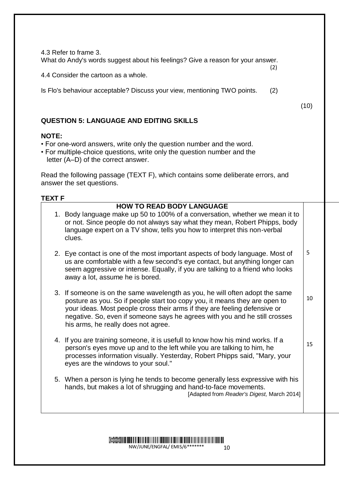4.3 Refer to frame 3. What do Andy's words suggest about his feelings? Give a reason for your answer. (2)

4.4 Consider the cartoon as a whole.

Is Flo's behaviour acceptable? Discuss your view, mentioning TWO points. (2)

(10)

15

#### **QUESTION 5: LANGUAGE AND EDITING SKILLS**

#### **NOTE:**

- For one-word answers, write only the question number and the word.
- For multiple-choice questions, write only the question number and the letter (A–D) of the correct answer.

Read the following passage (TEXT F), which contains some deliberate errors, and answer the set questions.

#### **TEXT F**

### **HOW TO READ BODY LANGUAGE**

- 1. Body language make up 50 to 100% of a conversation, whether we mean it to or not. Since people do not always say what they mean, Robert Phipps, body language expert on a TV show, tells you how to interpret this non-verbal clues.
- 2. Eye contact is one of the most important aspects of body language. Most of us are comfortable with a few second's eye contact, but anything longer can seem aggressive or intense. Equally, if you are talking to a friend who looks away a lot, assume he is bored. 5
- 3. If someone is on the same wavelength as you, he will often adopt the same posture as you. So if people start too copy you, it means they are open to your ideas. Most people cross their arms if they are feeling defensive or negative. So, even if someone says he agrees with you and he still crosses his arms, he really does not agree. 10
- 4. If you are training someone, it is usefull to know how his mind works. If a person's eyes move up and to the left while you are talking to him, he processes information visually. Yesterday, Robert Phipps said, "Mary, your eyes are the windows to your soul."
- 5. When a person is lying he tends to become generally less expressive with his hands, but makes a lot of shrugging and hand-to-face movements. [Adapted from *Reader's Digest,* March 2014]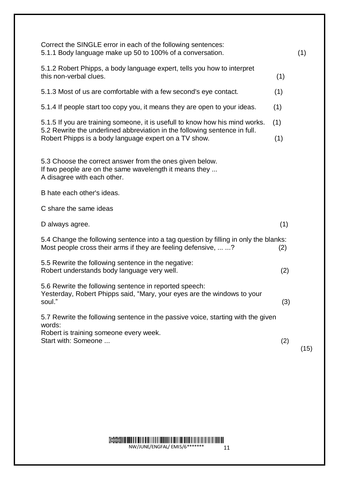| Correct the SINGLE error in each of the following sentences:<br>5.1.1 Body language make up 50 to 100% of a conversation.                                         |     | (1)  |
|-------------------------------------------------------------------------------------------------------------------------------------------------------------------|-----|------|
| 5.1.2 Robert Phipps, a body language expert, tells you how to interpret<br>this non-verbal clues.                                                                 | (1) |      |
| 5.1.3 Most of us are comfortable with a few second's eye contact.                                                                                                 | (1) |      |
| 5.1.4 If people start too copy you, it means they are open to your ideas.                                                                                         | (1) |      |
| 5.1.5 If you are training someone, it is usefull to know how his mind works.<br>(1)<br>5.2 Rewrite the underlined abbreviation in the following sentence in full. |     |      |
| Robert Phipps is a body language expert on a TV show.                                                                                                             | (1) |      |
| 5.3 Choose the correct answer from the ones given below.<br>If two people are on the same wavelength it means they<br>A disagree with each other.                 |     |      |
| B hate each other's ideas.                                                                                                                                        |     |      |
| C share the same ideas                                                                                                                                            |     |      |
| D always agree.                                                                                                                                                   | (1) |      |
| 5.4 Change the following sentence into a tag question by filling in only the blanks:<br>Most people cross their arms if they are feeling defensive,  ?            | (2) |      |
| 5.5 Rewrite the following sentence in the negative:<br>Robert understands body language very well.                                                                | (2) |      |
| 5.6 Rewrite the following sentence in reported speech:<br>Yesterday, Robert Phipps said, "Mary, your eyes are the windows to your<br>soul."                       | (3) |      |
| 5.7 Rewrite the following sentence in the passive voice, starting with the given                                                                                  |     |      |
| words:<br>Robert is training someone every week.                                                                                                                  |     |      |
| Start with: Someone                                                                                                                                               | (2) | (15) |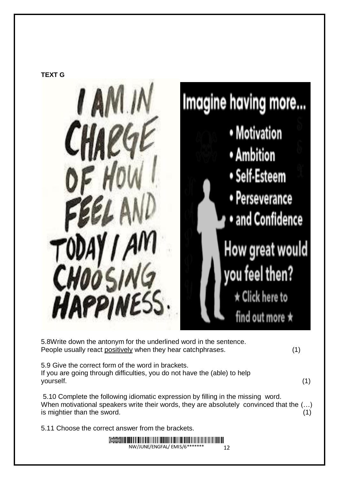

5.8Write down the antonym for the underlined word in the sentence. People usually react positively when they hear catchphrases. (1) 5.9 Give the correct form of the word in brackets. If you are going through difficulties, you do not have the (able) to help yourself. (1) 5.10 Complete the following idiomatic expression by filling in the missing word. When motivational speakers write their words, they are absolutely convinced that the (…) is mightier than the sword. (1) 5.11 Choose the correct answer from the brackets. Demo

NW/JUNE/ENGFAL/ EMIS/6\*\*

12